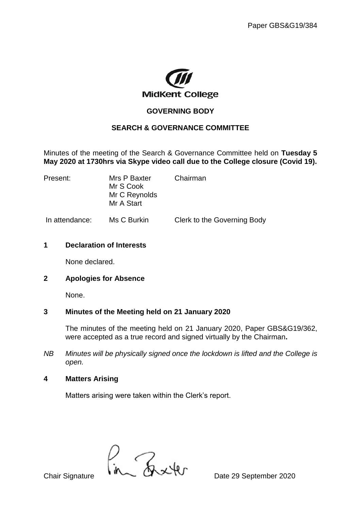

## **GOVERNING BODY**

#### **SEARCH & GOVERNANCE COMMITTEE**

Minutes of the meeting of the Search & Governance Committee held on **Tuesday 5 May 2020 at 1730hrs via Skype video call due to the College closure (Covid 19).**

| Present:       | Mrs P Baxter<br>Mr S Cook<br>Mr C Reynolds<br>Mr A Start | Chairman                    |
|----------------|----------------------------------------------------------|-----------------------------|
| In attendance: | Ms C Burkin                                              | Clerk to the Governing Body |

#### **1 Declaration of Interests**

None declared.

### **2 Apologies for Absence**

None.

### **3 Minutes of the Meeting held on 21 January 2020**

The minutes of the meeting held on 21 January 2020, Paper GBS&G19/362, were accepted as a true record and signed virtually by the Chairman**.** 

*NB Minutes will be physically signed once the lockdown is lifted and the College is open.*

### **4 Matters Arising**

Matters arising were taken within the Clerk's report.

 $\frac{1}{n}$ Chair Signature  $\frac{1}{n}$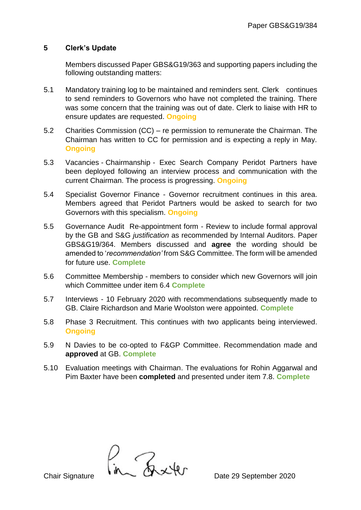## **5 Clerk's Update**

Members discussed Paper GBS&G19/363 and supporting papers including the following outstanding matters:

- 5.1 Mandatory training log to be maintained and reminders sent. Clerk continues to send reminders to Governors who have not completed the training. There was some concern that the training was out of date. Clerk to liaise with HR to ensure updates are requested. **Ongoing**
- 5.2 Charities Commission (CC) re permission to remunerate the Chairman. The Chairman has written to CC for permission and is expecting a reply in May. **Ongoing**
- 5.3 Vacancies Chairmanship Exec Search Company Peridot Partners have been deployed following an interview process and communication with the current Chairman. The process is progressing. **Ongoing**
- 5.4 Specialist Governor Finance Governor recruitment continues in this area. Members agreed that Peridot Partners would be asked to search for two Governors with this specialism. **Ongoing**
- 5.5 Governance Audit Re-appointment form Review to include formal approval by the GB and S&G *justification* as recommended by Internal Auditors. Paper GBS&G19/364. Members discussed and **agree** the wording should be amended to '*recommendation'* from S&G Committee. The form will be amended for future use. **Complete**
- 5.6 Committee Membership members to consider which new Governors will join which Committee under item 6.4 **Complete**
- 5.7 Interviews 10 February 2020 with recommendations subsequently made to GB. Claire Richardson and Marie Woolston were appointed. **Complete**
- 5.8 Phase 3 Recruitment. This continues with two applicants being interviewed. **Ongoing**
- 5.9 N Davies to be co-opted to F&GP Committee. Recommendation made and **approved** at GB. **Complete**
- 5.10 Evaluation meetings with Chairman. The evaluations for Rohin Aggarwal and Pim Baxter have been **completed** and presented under item 7.8. **Complete**

 $\int_{\text{Chair Signature}}$   $\int_{\text{M}}$   $\int_{\text{M}} \mathcal{L} \mathcal{L}$  Date 29 September 2020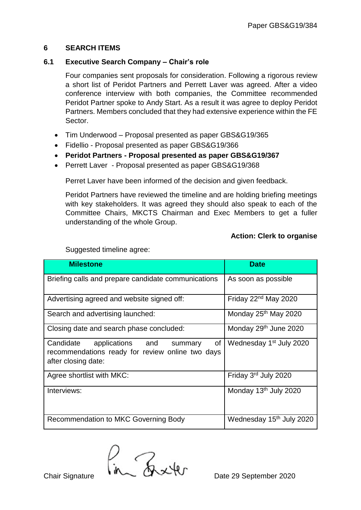## **6 SEARCH ITEMS**

## **6.1 Executive Search Company – Chair's role**

Four companies sent proposals for consideration. Following a rigorous review a short list of Peridot Partners and Perrett Laver was agreed. After a video conference interview with both companies, the Committee recommended Peridot Partner spoke to Andy Start. As a result it was agree to deploy Peridot Partners. Members concluded that they had extensive experience within the FE **Sector** 

- Tim Underwood Proposal presented as paper GBS&G19/365
- Fidellio Proposal presented as paper GBS&G19/366
- **Peridot Partners - Proposal presented as paper GBS&G19/367**
- Perrett Laver Proposal presented as paper GBS&G19/368

Perret Laver have been informed of the decision and given feedback.

Peridot Partners have reviewed the timeline and are holding briefing meetings with key stakeholders. It was agreed they should also speak to each of the Committee Chairs, MKCTS Chairman and Exec Members to get a fuller understanding of the whole Group.

### **Action: Clerk to organise**

| <b>Milestone</b>                                                                                                          | <b>Date</b>                          |
|---------------------------------------------------------------------------------------------------------------------------|--------------------------------------|
| Briefing calls and prepare candidate communications                                                                       | As soon as possible                  |
| Advertising agreed and website signed off:                                                                                | Friday 22 <sup>nd</sup> May 2020     |
| Search and advertising launched:                                                                                          | Monday 25 <sup>th</sup> May 2020     |
| Closing date and search phase concluded:                                                                                  | Monday 29th June 2020                |
| of<br>Candidate<br>applications and<br>summary<br>recommendations ready for review online two days<br>after closing date: | Wednesday 1 <sup>st</sup> July 2020  |
| Agree shortlist with MKC:                                                                                                 | Friday 3 <sup>rd</sup> July 2020     |
| Interviews:                                                                                                               | Monday 13 <sup>th</sup> July 2020    |
| Recommendation to MKC Governing Body                                                                                      | Wednesday 15 <sup>th</sup> July 2020 |

Suggested timeline agree:

 $\int_{\text{Chair Signature}}$   $\int_{\text{M}}$   $\int_{\text{M}} \mathcal{L} \mathcal{L}$  Date 29 September 2020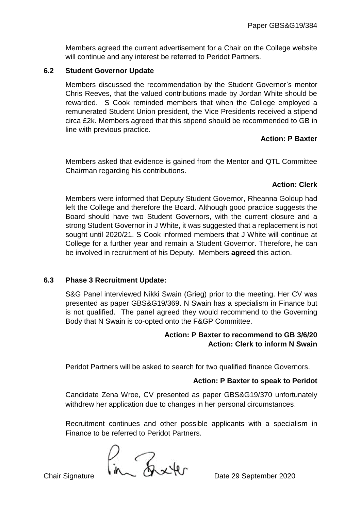Members agreed the current advertisement for a Chair on the College website will continue and any interest be referred to Peridot Partners.

### **6.2 Student Governor Update**

Members discussed the recommendation by the Student Governor's mentor Chris Reeves, that the valued contributions made by Jordan White should be rewarded. S Cook reminded members that when the College employed a remunerated Student Union president, the Vice Presidents received a stipend circa £2k. Members agreed that this stipend should be recommended to GB in line with previous practice.

## **Action: P Baxter**

Members asked that evidence is gained from the Mentor and QTL Committee Chairman regarding his contributions.

# **Action: Clerk**

Members were informed that Deputy Student Governor, Rheanna Goldup had left the College and therefore the Board. Although good practice suggests the Board should have two Student Governors, with the current closure and a strong Student Governor in J White, it was suggested that a replacement is not sought until 2020/21. S Cook informed members that J White will continue at College for a further year and remain a Student Governor. Therefore, he can be involved in recruitment of his Deputy. Members **agreed** this action.

### **6.3 Phase 3 Recruitment Update:**

S&G Panel interviewed Nikki Swain (Grieg) prior to the meeting. Her CV was presented as paper GBS&G19/369. N Swain has a specialism in Finance but is not qualified. The panel agreed they would recommend to the Governing Body that N Swain is co-opted onto the F&GP Committee.

### **Action: P Baxter to recommend to GB 3/6/20 Action: Clerk to inform N Swain**

Peridot Partners will be asked to search for two qualified finance Governors.

### **Action: P Baxter to speak to Peridot**

Candidate Zena Wroe, CV presented as paper GBS&G19/370 unfortunately withdrew her application due to changes in her personal circumstances.

Recruitment continues and other possible applicants with a specialism in Finance to be referred to Peridot Partners.

 $\int_{\text{chi}}$   $\int_{\text{d}} \int_{\text{d}} \int_{\text{d}} \mathcal{L}$   $\mathcal{L}$   $\mathcal{L}$  Date 29 September 2020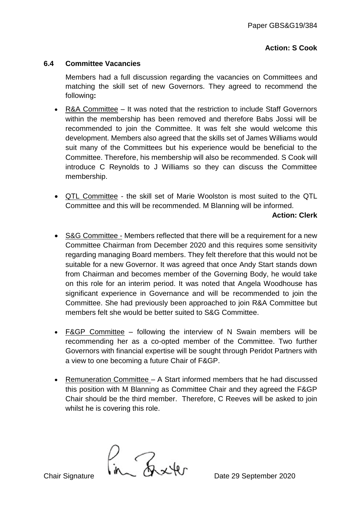## **Action: S Cook**

#### **6.4 Committee Vacancies**

Members had a full discussion regarding the vacancies on Committees and matching the skill set of new Governors. They agreed to recommend the following**:**

- R&A Committee It was noted that the restriction to include Staff Governors within the membership has been removed and therefore Babs Jossi will be recommended to join the Committee. It was felt she would welcome this development. Members also agreed that the skills set of James Williams would suit many of the Committees but his experience would be beneficial to the Committee. Therefore, his membership will also be recommended. S Cook will introduce C Reynolds to J Williams so they can discuss the Committee membership.
- QTL Committee the skill set of Marie Woolston is most suited to the QTL Committee and this will be recommended. M Blanning will be informed.

#### **Action: Clerk**

- S&G Committee Members reflected that there will be a requirement for a new Committee Chairman from December 2020 and this requires some sensitivity regarding managing Board members. They felt therefore that this would not be suitable for a new Governor. It was agreed that once Andy Start stands down from Chairman and becomes member of the Governing Body, he would take on this role for an interim period. It was noted that Angela Woodhouse has significant experience in Governance and will be recommended to join the Committee. She had previously been approached to join R&A Committee but members felt she would be better suited to S&G Committee.
- F&GP Committee following the interview of N Swain members will be recommending her as a co-opted member of the Committee. Two further Governors with financial expertise will be sought through Peridot Partners with a view to one becoming a future Chair of F&GP.
- Remuneration Committee A Start informed members that he had discussed this position with M Blanning as Committee Chair and they agreed the F&GP Chair should be the third member. Therefore, C Reeves will be asked to join whilst he is covering this role.

 $\frac{1}{n}$ Chair Signature  $\frac{1}{n}$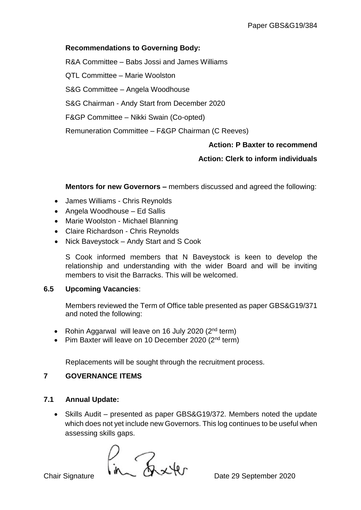## **Recommendations to Governing Body:**

R&A Committee – Babs Jossi and James Williams QTL Committee – Marie Woolston S&G Committee – Angela Woodhouse S&G Chairman - Andy Start from December 2020 F&GP Committee – Nikki Swain (Co-opted) Remuneration Committee – F&GP Chairman (C Reeves)

### **Action: P Baxter to recommend**

# **Action: Clerk to inform individuals**

**Mentors for new Governors –** members discussed and agreed the following:

- James Williams Chris Reynolds
- Angela Woodhouse Ed Sallis
- Marie Woolston Michael Blanning
- Claire Richardson Chris Reynolds
- Nick Baveystock Andy Start and S Cook

S Cook informed members that N Baveystock is keen to develop the relationship and understanding with the wider Board and will be inviting members to visit the Barracks. This will be welcomed.

### **6.5 Upcoming Vacancies**:

Members reviewed the Term of Office table presented as paper GBS&G19/371 and noted the following:

- Rohin Aggarwal will leave on 16 July 2020  $(2^{nd}$  term)
- Pim Baxter will leave on 10 December 2020 ( $2<sup>nd</sup>$  term)

Replacements will be sought through the recruitment process.

### **7 GOVERNANCE ITEMS**

### **7.1 Annual Update:**

• Skills Audit – presented as paper GBS&G19/372. Members noted the update which does not yet include new Governors. This log continues to be useful when assessing skills gaps.

 $\frac{1}{n}$ Chair Signature  $\frac{1}{n}$ <br>Chair Signature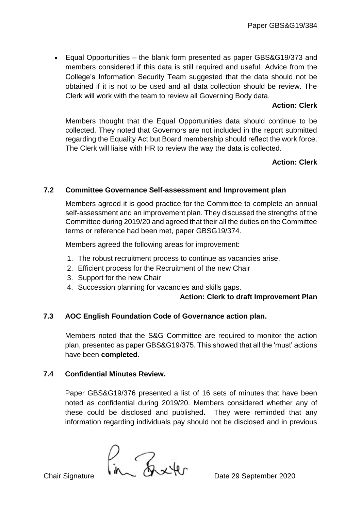Equal Opportunities – the blank form presented as paper GBS&G19/373 and members considered if this data is still required and useful. Advice from the College's Information Security Team suggested that the data should not be obtained if it is not to be used and all data collection should be review. The Clerk will work with the team to review all Governing Body data.

### **Action: Clerk**

Members thought that the Equal Opportunities data should continue to be collected. They noted that Governors are not included in the report submitted regarding the Equality Act but Board membership should reflect the work force. The Clerk will liaise with HR to review the way the data is collected.

## **Action: Clerk**

## **7.2 Committee Governance Self-assessment and Improvement plan**

Members agreed it is good practice for the Committee to complete an annual self-assessment and an improvement plan. They discussed the strengths of the Committee during 2019/20 and agreed that their all the duties on the Committee terms or reference had been met, paper GBSG19/374.

Members agreed the following areas for improvement:

- 1. The robust recruitment process to continue as vacancies arise.
- 2. Efficient process for the Recruitment of the new Chair
- 3. Support for the new Chair
- 4. Succession planning for vacancies and skills gaps.

**Action: Clerk to draft Improvement Plan**

### **7.3 AOC English Foundation Code of Governance action plan.**

Members noted that the S&G Committee are required to monitor the action plan, presented as paper GBS&G19/375. This showed that all the 'must' actions have been **completed**.

### **7.4 Confidential Minutes Review.**

Paper GBS&G19/376 presented a list of 16 sets of minutes that have been noted as confidential during 2019/20. Members considered whether any of these could be disclosed and published**.** They were reminded that any information regarding individuals pay should not be disclosed and in previous

 $\frac{1}{n}$ Chair Signature  $\frac{1}{n}$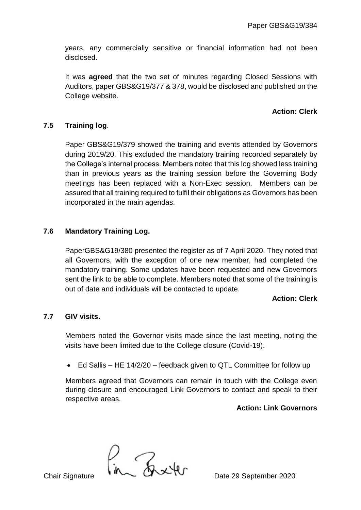years, any commercially sensitive or financial information had not been disclosed.

It was **agreed** that the two set of minutes regarding Closed Sessions with Auditors, paper GBS&G19/377 & 378, would be disclosed and published on the College website.

# **Action: Clerk**

# **7.5 Training log**.

Paper GBS&G19/379 showed the training and events attended by Governors during 2019/20. This excluded the mandatory training recorded separately by the College's internal process. Members noted that this log showed less training than in previous years as the training session before the Governing Body meetings has been replaced with a Non-Exec session. Members can be assured that all training required to fulfil their obligations as Governors has been incorporated in the main agendas.

## **7.6 Mandatory Training Log.**

PaperGBS&G19/380 presented the register as of 7 April 2020. They noted that all Governors, with the exception of one new member, had completed the mandatory training. Some updates have been requested and new Governors sent the link to be able to complete. Members noted that some of the training is out of date and individuals will be contacted to update.

### **Action: Clerk**

### **7.7 GIV visits.**

Members noted the Governor visits made since the last meeting, noting the visits have been limited due to the College closure (Covid-19).

• Ed Sallis – HE 14/2/20 – feedback given to QTL Committee for follow up

Members agreed that Governors can remain in touch with the College even during closure and encouraged Link Governors to contact and speak to their respective areas.

#### **Action: Link Governors**

 $\frac{1}{n}$ Chair Signature  $\frac{1}{n}$